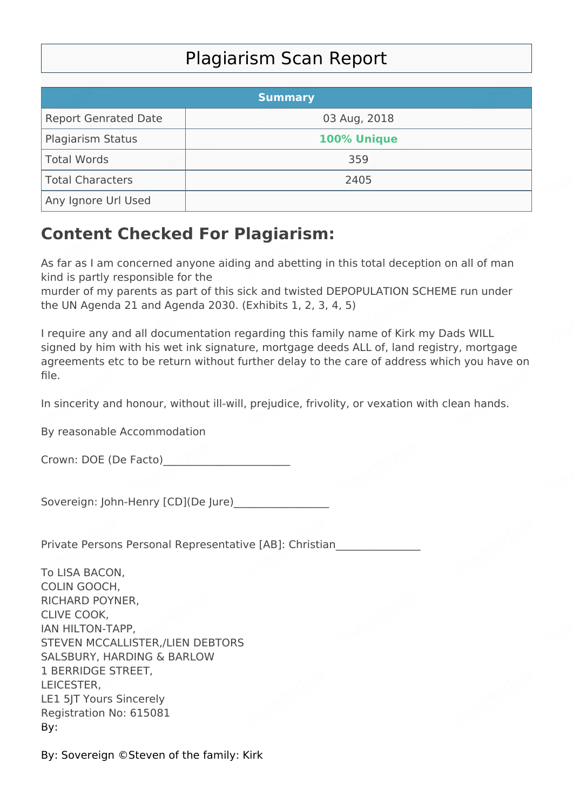## Plagiarism Scan Report

|                             | <b>Summary</b> |  |
|-----------------------------|----------------|--|
| <b>Report Genrated Date</b> | 03 Aug, 2018   |  |
| Plagiarism Status           | 100% Unique    |  |
| Total Words                 | 359            |  |
| Total Characters            | 2405           |  |
| Any Ignore Url Used         |                |  |

## **Content Checked For Plagiarism:**

As far as I am concerned anyone aiding and abetting in this total deception on all of man kind is partly responsible for the

murder of my parents as part of this sick and twisted DEPOPULATION SCHEME run under the UN Agenda 21 and Agenda 2030. (Exhibits 1, 2, 3, 4, 5)

I require any and all documentation regarding this family name of Kirk my Dads WILL signed by him with his wet ink signature, mortgage deeds ALL of, land registry, mortgage agreements etc to be return without further delay to the care of address which you have on file.

In sincerity and honour, without ill-will, prejudice, frivolity, or vexation with clean hands.

By reasonable Accommodation

Crown: DOE (De Facto)

Sovereign: John-Henry [CD](De Jure)

Private Persons Personal Representative [AB]: Christian\_\_\_\_\_\_\_\_\_\_\_\_\_\_\_\_

To LISA BACON, COLIN GOOCH, RICHARD POYNER, CLIVE COOK, IAN HILTON-TAPP, STEVEN MCCALLISTER,/LIEN DEBTORS SALSBURY, HARDING & BARLOW 1 BERRIDGE STREET, LEICESTER, LE1 5JT Yours Sincerely Registration No: 615081 By:

By: Sovereign ©Steven of the family: Kirk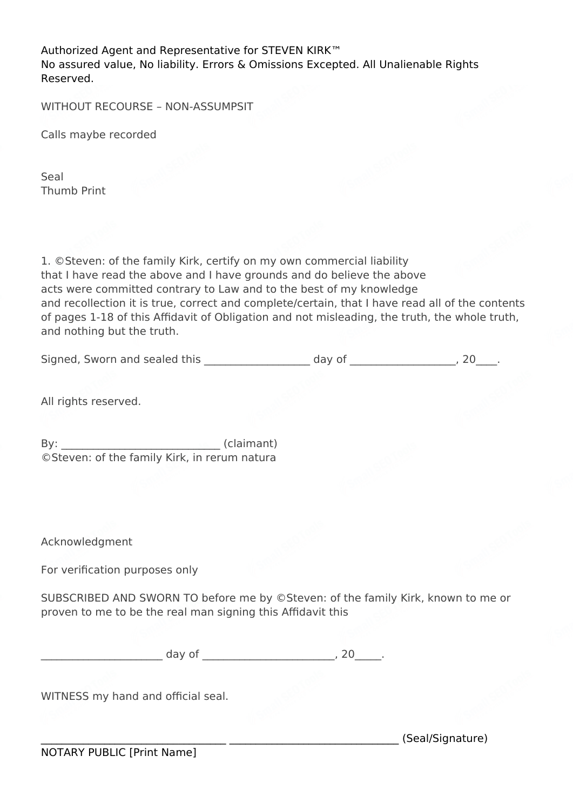Authorized Agent and Representative for STEVEN KIRK™ No assured value, No liability. Errors & Omissions Excepted. All Unalienable Rights Reserved.

WITHOUT RECOURSE – NON-ASSUMPSIT

Calls maybe recorded

Seal Thumb Print

1. ©Steven: of the family Kirk, certify on my own commercial liability that I have read the above and I have grounds and do believe the above acts were committed contrary to Law and to the best of my knowledge and recollection it is true, correct and complete/certain, that I have read all of the contents of pages 1-18 of this Affidavit of Obligation and not misleading, the truth, the whole truth, and nothing but the truth.

Signed, Sworn and sealed this \_\_\_\_\_\_\_\_\_\_\_\_\_\_\_\_\_\_\_\_ day of \_\_\_\_\_\_\_\_\_\_\_\_\_\_\_\_\_\_, 20\_\_\_\_.

All rights reserved.

By: \_\_\_\_\_\_\_\_\_\_\_\_\_\_\_\_\_\_\_\_\_\_\_\_\_\_\_\_\_\_ (claimant) ©Steven: of the family Kirk, in rerum natura

Acknowledgment

For verification purposes only

SUBSCRIBED AND SWORN TO before me by ©Steven: of the family Kirk, known to me or proven to me to be the real man signing this Affidavit this

 $day of$   $\qquad \qquad$  , 20  $\qquad \qquad$ 

WITNESS my hand and official seal.

\_\_\_\_\_\_\_\_\_\_\_\_\_\_\_\_\_\_\_\_\_\_\_\_\_\_\_\_\_\_\_\_\_\_\_ \_\_\_\_\_\_\_\_\_\_\_\_\_\_\_\_\_\_\_\_\_\_\_\_\_\_\_\_\_\_\_\_ (Seal/Signature)

NOTARY PUBLIC [Print Name]